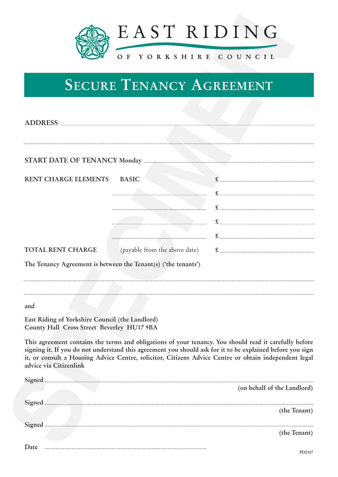

# **SECURE TENANCY AGREEMENT**

|                                                                                               | EAST RIDING<br>OF YORKSHIRE COUNCIL                                                                                                                                                                                                                                                                                          |                             |  |
|-----------------------------------------------------------------------------------------------|------------------------------------------------------------------------------------------------------------------------------------------------------------------------------------------------------------------------------------------------------------------------------------------------------------------------------|-----------------------------|--|
| <b>SECURE TENANCY AGREEMENT</b>                                                               |                                                                                                                                                                                                                                                                                                                              |                             |  |
| ADDRESS                                                                                       |                                                                                                                                                                                                                                                                                                                              |                             |  |
|                                                                                               |                                                                                                                                                                                                                                                                                                                              |                             |  |
| RENT CHARGE ELEMENTS                                                                          | <b>BASIC</b>                                                                                                                                                                                                                                                                                                                 |                             |  |
|                                                                                               |                                                                                                                                                                                                                                                                                                                              |                             |  |
|                                                                                               |                                                                                                                                                                                                                                                                                                                              |                             |  |
|                                                                                               |                                                                                                                                                                                                                                                                                                                              |                             |  |
| <b>TOTAL RENT CHARGE</b>                                                                      | (payable from the above date)                                                                                                                                                                                                                                                                                                | $\mathbf{E}$                |  |
|                                                                                               | The Tenancy Agreement is between the Tenant(s) ('the tenants')                                                                                                                                                                                                                                                               |                             |  |
|                                                                                               |                                                                                                                                                                                                                                                                                                                              |                             |  |
| and                                                                                           |                                                                                                                                                                                                                                                                                                                              |                             |  |
| East Riding of Yorkshire Council (the Landlord)<br>County Hall Cross Street Beverley HU17 9BA |                                                                                                                                                                                                                                                                                                                              |                             |  |
| advice via Citizenlink                                                                        | This agreement contains the terms and obligations of your tenancy. You should read it carefully before<br>signing it. If you do not understand this agreement you should ask for it to be explained before you sign<br>it, or consult a Housing Advice Centre, solicitor, Citizens Advice Centre or obtain independent legal |                             |  |
|                                                                                               |                                                                                                                                                                                                                                                                                                                              | (on behalf of the Landlord) |  |
| Signed                                                                                        |                                                                                                                                                                                                                                                                                                                              |                             |  |
|                                                                                               |                                                                                                                                                                                                                                                                                                                              | (the Tenant)                |  |
| Signed                                                                                        |                                                                                                                                                                                                                                                                                                                              | (the Tenant)                |  |
| Date                                                                                          |                                                                                                                                                                                                                                                                                                                              |                             |  |

**Date**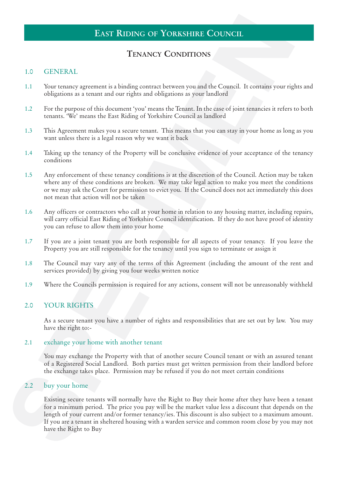# **EAST RIDING OF YORKSHIRE COUNCIL**

# **TENANCY CONDITIONS**

#### 1.0 GENERAL

- 1.1 Your tenancy agreement is a binding contract between you and the Council. It contains your rights and obligations as a tenant and our rights and obligations as your landlord
- 1.2 For the purpose of this document 'you' means the Tenant. In the case of joint tenancies it refers to both tenants. 'We' means the East Riding of Yorkshire Council as landlord
- 1.3 This Agreement makes you a secure tenant. This means that you can stay in your home as long as you want unless there is a legal reason why we want it back
- 1.4 Taking up the tenancy of the Property will be conclusive evidence of your acceptance of the tenancy conditions
- 1.5 Any enforcement of these tenancy conditions is at the discretion of the Council. Action may be taken where any of these conditions are broken. We may take legal action to make you meet the conditions or we may ask the Court for permission to evict you. If the Council does not act immediately this does not mean that action will not be taken
- 1.6 Any officers or contractors who call at your home in relation to any housing matter, including repairs, will carry official East Riding of Yorkshire Council identification. If they do not have proof of identity you can refuse to allow them into your home
- 1.7 If you are a joint tenant you are both responsible for all aspects of your tenancy. If you leave the Property you are still responsible for the tenancy until you sign to terminate or assign it
- 1.8 The Council may vary any of the terms of this Agreement (including the amount of the rent and services provided) by giving you four weeks written notice
- 1.9 Where the Councils permission is required for any actions, consent will not be unreasonably withheld

#### 2.0 YOUR RIGHTS

As a secure tenant you have a number of rights and responsibilities that are set out by law. You may have the right to:-

#### 2.1 exchange your home with another tenant

You may exchange the Property with that of another secure Council tenant or with an assured tenant of a Registered Social Landlord. Both parties must get written permission from their landlord before the exchange takes place. Permission may be refused if you do not meet certain conditions

#### 2.2 buy your home

**EAST RIDING OF YORKSTHEL COUNCIL**<br> **SPECIES (SPECIAL)**<br> **SPECIES (SPECIAL)**<br> **SECULARIZE CONDITIONS**<br> **SECULARIZE CONDITIONS**<br> **SECULARIZE CONDITIONS**<br> **SPECIMENT CONDITIONS**<br> **SPECIMENT ASSECUTE TO A SUPPRETTION CONDITI** Existing secure tenants will normally have the Right to Buy their home after they have been a tenant for a minimum period. The price you pay will be the market value less a discount that depends on the length of your current and/or former tenancy/ies. This discount is also subject to a maximum amount. If you are a tenant in sheltered housing with a warden service and common room close by you may not have the Right to Buy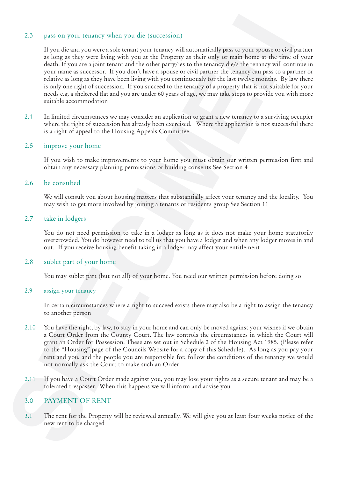#### 2.3 pass on your tenancy when you die (succession)

2.5 pass on your tenancy when you die (soccession)<br> **SPECIMENT Value of the SPECIMENT CONSULT AND THE SPECIES INTERFERING TO THE CONSULT IN the SPECIES INTERFERING THE SPECIES IN the SPECIES IN the SPECIES IN the CONSULTA** If you die and you were a sole tenant your tenancy will automatically pass to your spouse or civil partner as long as they were living with you at the Property as their only or main home at the time of your death. If you are a joint tenant and the other party/ies to the tenancy die/s the tenancy will continue in your name as successor. If you don't have a spouse or civil partner the tenancy can pass to a partner or relative as long as they have been living with you continuously for the last twelve months. By law there is only one right of succession. If you succeed to the tenancy of a property that is not suitable for your needs e.g. a sheltered flat and you are under 60 years of age, we may take steps to provide you with more suitable accommodation

2.4 In limited circumstances we may consider an application to grant a new tenancy to a surviving occupier where the right of succession has already been exercised. Where the application is not successful there is a right of appeal to the Housing Appeals Committee

#### 2.5 improve your home

If you wish to make improvements to your home you must obtain our written permission first and obtain any necessary planning permissions or building consents See Section 4

#### 2.6 be consulted

We will consult you about housing matters that substantially affect your tenancy and the locality. You may wish to get more involved by joining a tenants or residents group See Section 11

#### 2.7 take in lodgers

You do not need permission to take in a lodger as long as it does not make your home statutorily overcrowded. You do however need to tell us that you have a lodger and when any lodger moves in and out. If you receive housing benefit taking in a lodger may affect your entitlement

#### 2.8 sublet part of your home

You may sublet part (but not all) of your home. You need our written permission before doing so

#### 2.9 assign your tenancy

In certain circumstances where a right to succeed exists there may also be a right to assign the tenancy to another person

- 2.10 You have the right, by law, to stay in your home and can only be moved against your wishes if we obtain a Court Order from the County Court. The law controls the circumstances in which the Court will grant an Order for Possession. These are set out in Schedule 2 of the Housing Act 1985. (Please refer to the "Housing" page of the Councils Website for a copy of this Schedule). As long as you pay your rent and you, and the people you are responsible for, follow the conditions of the tenancy we would not normally ask the Court to make such an Order
- 2.11 If you have a Court Order made against you, you may lose your rights as a secure tenant and may be a tolerated trespasser. When this happens we will inform and advise you

#### 3.0 PAYMENT OF RENT

3.1 The rent for the Property will be reviewed annually. We will give you at least four weeks notice of the new rent to be charged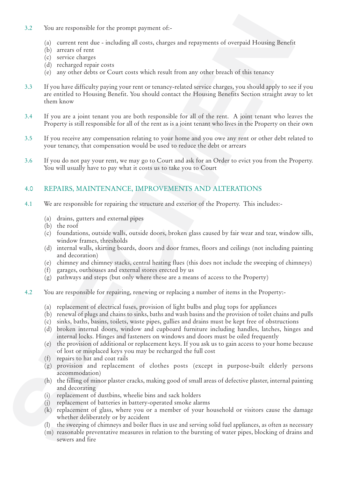- 3.2 You are responsible for the prompt payment of:-
	- (a) current rent due including all costs, charges and repayments of overpaid Housing Benefit
	- (b) arrears of rent
	- (c) service charges
	- (d) recharged repair costs
	- (e) any other debts or Court costs which result from any other breach of this tenancy
- 3.2 You are responsible for the prompt payment of:<br>
SP correct out the characteristic form is considered and cost of the system of overpaid Horoing Beach<br>
SP correct out the characteristic form is used to propose the defi 3.3 If you have difficulty paying your rent or tenancy-related service charges, you should apply to see if you are entitled to Housing Benefit. You should contact the Housing Benefits Section straight away to let them know
	- 3.4 If you are a joint tenant you are both responsible for all of the rent. A joint tenant who leaves the Property is still responsible for all of the rent as is a joint tenant who lives in the Property on their own
	- 3.5 If you receive any compensation relating to your home and you owe any rent or other debt related to your tenancy, that compensation would be used to reduce the debt or arrears
	- 3.6 If you do not pay your rent, we may go to Court and ask for an Order to evict you from the Property. You will usually have to pay what it costs us to take you to Court

### 4.0 REPAIRS, MAINTENANCE, IMPROVEMENTS AND ALTERATIONS

- 4.1 We are responsible for repairing the structure and exterior of the Property. This includes:-
	- (a) drains, gutters and external pipes
	- (b) the roof
	- (c) foundations, outside walls, outside doors, broken glass caused by fair wear and tear, window sills, window frames, thresholds
	- (d) internal walls, skirting boards, doors and door frames, floors and ceilings (not including painting and decoration)
	- (e) chimney and chimney stacks, central heating flues (this does not include the sweeping of chimneys)
	- (f) garages, outhouses and external stores erected by us
	- (g) pathways and steps (but only where these are a means of access to the Property)
- 4.2 You are responsible for repairing, renewing or replacing a number of items in the Property:-
	- (a) replacement of electrical fuses, provision of light bulbs and plug tops for appliances
	- (b) renewal of plugs and chains to sinks, baths and wash basins and the provision of toilet chains and pulls
	- (c) sinks, baths, basins, toilets, waste pipes, gullies and drains must be kept free of obstructions
	- (d) broken internal doors, window and cupboard furniture including handles, latches, hinges and internal locks. Hinges and fasteners on windows and doors must be oiled frequently
	- (e) the provision of additional or replacement keys. If you ask us to gain access to your home because of lost or misplaced keys you may be recharged the full cost
	- (f) repairs to hat and coat rails
	- (g) provision and replacement of clothes posts (except in purpose-built elderly persons accommodation)
	- (h) the filling of minor plaster cracks, making good of small areas of defective plaster, internal painting and decorating
	- (i) replacement of dustbins, wheelie bins and sack holders
	- (j) replacement of batteries in battery-operated smoke alarms
	- (k) replacement of glass, where you or a member of your household or visitors cause the damage whether deliberately or by accident
	- (l) the sweeping of chimneys and boiler flues in use and serving solid fuel appliances, as often as necessary
	- (m) reasonable preventative measures in relation to the bursting of water pipes, blocking of drains and sewers and fire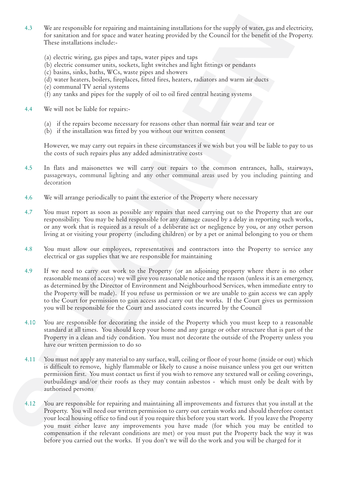- 4.3 We are responsible for repairing and maintaining installations for the supply of water, gas and electricity, for sanitation and for space and water heating provided by the Council for the benefit of the Property. These installations include:-
	- (a) electric wiring, gas pipes and taps, water pipes and taps
	- (b) electric consumer units, sockets, light switches and light fittings or pendants
	- (c) basins, sinks, baths, WCs, waste pipes and showers
	- (d) water heaters, boilers, fireplaces, fitted fires, heaters, radiators and warm air ducts
	- (e) communal TV aerial systems
	- (f) any tanks and pipes for the supply of oil to oil fired central heating systems
- 4.4 We will not be liable for repairs:-
	- (a) if the repairs become necessary for reasons other than normal fair wear and tear or
	- (b) if the installation was fitted by you without our written consent

However, we may carry out repairs in these circumstances if we wish but you will be liable to pay to us the costs of such repairs plus any added administrative costs

- 4.5 In flats and maisonettes we will carry out repairs to the common entrances, halls, stairways, passageways, communal lighting and any other communal areas used by you including painting and decoration
- 4.6 We will arrange periodically to paint the exterior of the Property where necessary
- 4.7 You must report as soon as possible any repairs that need carrying out to the Property that are our responsibility. You may be held responsible for any damage caused by a delay in reporting such works, or any work that is required as a result of a deliberate act or negligence by you, or any other person living at or visiting your property (including children) or by a pet or animal belonging to you or them
- 4.8 You must allow our employees, representatives and contractors into the Property to service any electrical or gas supplies that we are responsible for maintaining
- 4.9 If we need to carry out work to the Property (or an adjoining property where there is no other reasonable means of access) we will give you reasonable notice and the reason (unless it is an emergency, as determined by the Director of Environment and Neighbourhood Services, when immediate entry to the Property will be made). If you refuse us permission or we are unable to gain access we can apply to the Court for permission to gain access and carry out the works. If the Court gives us permission you will be responsible for the Court and associated costs incurred by the Council
- 4.10 You are responsible for decorating the inside of the Property which you must keep to a reasonable standard at all times. You should keep your home and any garage or other structure that is part of the Property in a clean and tidy condition. You must not decorate the outside of the Property unless you have our written permission to do so
- 4.11 You must not apply any material to any surface, wall, ceiling or floor of your home (inside or out) which is difficult to remove, highly flammable or likely to cause a noise nuisance unless you get our written permission first. You must contact us first if you wish to remove any textured wall or ceiling coverings, outbuildings and/or their roofs as they may contain asbestos - which must only be dealt with by authorised persons
- 3. We are responsible for requiring and maintaining invalidation for the apply of setter, particle in the space state of the space of the space of the space of the space of the space of the space of the space of the space 4.12 You are responsible for repairing and maintaining all improvements and fixtures that you install at the Property. You will need our written permission to carry out certain works and should therefore contact your local housing office to find out if you require this before you start work. If you leave the Property you must either leave any improvements you have made (for which you may be entitled to compensation if the relevant conditions are met) or you must put the Property back the way it was before you carried out the works. If you don't we will do the work and you will be charged for it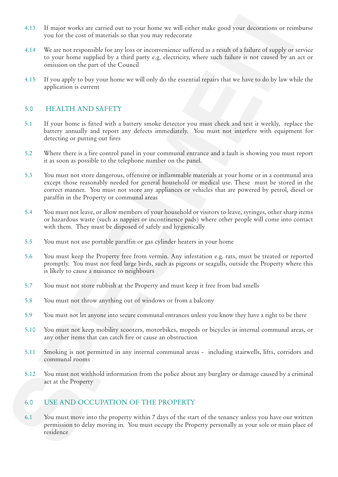- 4.13 If major works are carried out to your home we will either make good your decorations or reimburse you for the cost of materials so that you may redecorate
- 4.14 We are not responsible for any loss or inconvenience suffered as a result of a failure of supply or service to your home supplied by a third party e.g. electricity, where such failure is not caused by an act or omission on the part of the Council
- 4.15 If you apply to buy your home we will only do the essential repairs that we have to do by law while the application is current

#### 5.0 HEALTH AND SAFETY

- 5.1 If your home is fitted with a battery smoke detector you must check and test it weekly, replace the battery annually and report any defects immediately. You must not interfere with equipment for detecting or putting out fires
- 5.2 Where there is a fire control panel in your communal entrance and a fault is showing you must report it as soon as possible to the telephone number on the panel.
- 4.13 If major works are corridot at to your loose wordl other noke good your decoration or relatively you that we can compute the south of the specified by a specified of a specified of the specified of the specified of t 5.3 You must not store dangerous, offensive or inflammable materials at your home or in a communal area except those reasonably needed for general household or medical use. These must be stored in the correct manner. You must not store any appliances or vehicles that are powered by petrol, diesel or paraffin in the Property or communal areas
	- 5.4 You must not leave, or allow members of your household or visitors to leave, syringes, other sharp items or hazardous waste (such as nappies or incontinence pads) where other people will come into contact with them. They must be disposed of safely and hygienically
	- 5.5 You must not use portable paraffin or gas cylinder heaters in your home
	- 5.6 You must keep the Property free from vermin. Any infestation e.g. rats, must be treated or reported promptly. You must not feed large birds, such as pigeons or seagulls, outside the Property where this is likely to cause a nuisance to neighbours
	- 5.7 You must not store rubbish at the Property and must keep it free from bad smells
	- 5.8 You must not throw anything out of windows or from a balcony
	- 5.9 You must not let anyone into secure communal entrances unless you know they have a right to be there
	- 5.10 You must not keep mobility scooters, motorbikes, mopeds or bicycles in internal communal areas, or any other items that can catch fire or cause an obstruction
	- 5.11 Smoking is not permitted in any internal communal areas including stairwells, lifts, corridors and communal rooms
	- 5.12 You must not withhold information from the police about any burglary or damage caused by a criminal act at the Property

#### 6.0 USE AND OCCUPATION OF THE PROPERTY

6.1 You must move into the property within 7 days of the start of the tenancy unless you have our written permission to delay moving in. You must occupy the Property personally as your sole or main place of residence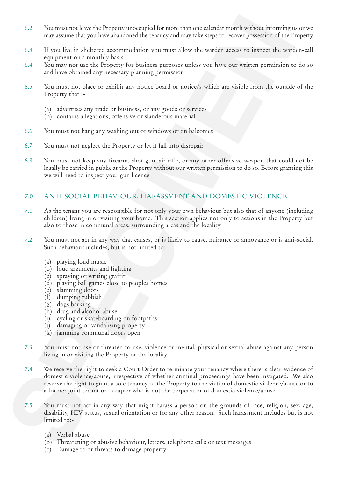- 6.2 You must not leave the Property unoccupied for more than one calendar month without informing us or we may assume that you have abandoned the tenancy and may take steps to recover possession of the Property
- 6.3 If you live in sheltered accommodation you must allow the warden access to inspect the warden-call equipment on a monthly basis
- 6.4 You may not use the Property for business purposes unless you have our written permission to do so and have obtained any necessary planning permission
- 6.5 You must not place or exhibit any notice board or notice/s which are visible from the outside of the Property that :-
	- (a) advertises any trade or business, or any goods or services
	- (b) contains allegations, offensive or slanderous material
- 6.6 You must not hang any washing out of windows or on balconies
- 6.7 You must not neglect the Property or let it fall into disrepair
- 6.8 You must not keep any firearm, shot gun, air rifle, or any other offensive weapon that could not be legally be carried in public at the Property without our written permission to do so. Before granting this we will need to inspect your gun licence

#### 7.0 ANTI-SOCIAL BEHAVIOUR, HARASSMENT AND DOMESTIC VIOLENCE

- 7.1 As the tenant you are responsible for not only your own behaviour but also that of anyone (including children) living in or visiting your home. This section applies not only to actions in the Property but also to those in communal areas, surrounding areas and the locality
- 7.2 You must not act in any way that causes, or is likely to cause, nuisance or annoyance or is anti-social. Such behaviour includes, but is not limited to:-
	- (a) playing loud music
	- (b) loud arguments and fighting
	- (c) spraying or writing graffiti
	- (d) playing ball games close to peoples homes
	- (e) slamming doors
	- (f) dumping rubbish
	- (g) dogs barking
	- (h) drug and alcohol abuse
	- (i) cycling or skateboarding on footpaths
	- (j) damaging or vandalising property
	- (k) jamming communal doors open
- 7.3 You must not use or threaten to use, violence or mental, physical or sexual abuse against any person living in or visiting the Property or the locality
- 6.2 You must meet laste the Property are<br>complete for more than the simulations (see Figure 2014) and the simulations (see Figure 2016)<br>
11 you live in a declared accommodular you must any only suppresses the system compl 7.4 We reserve the right to seek a Court Order to terminate your tenancy where there is clear evidence of domestic violence/abuse, irrespective of whether criminal proceedings have been instigated. We also reserve the right to grant a sole tenancy of the Property to the victim of domestic violence/abuse or to a former joint tenant or occupier who is not the perpetrator of domestic violence/abuse
	- 7.5 You must not act in any way that might harass a person on the grounds of race, religion, sex, age, disability, HIV status, sexual orientation or for any other reason. Such harassment includes but is not limited to:-
		- (a) Verbal abuse
		- (b) Threatening or abusive behaviour, letters, telephone calls or text messages
		- (c) Damage to or threats to damage property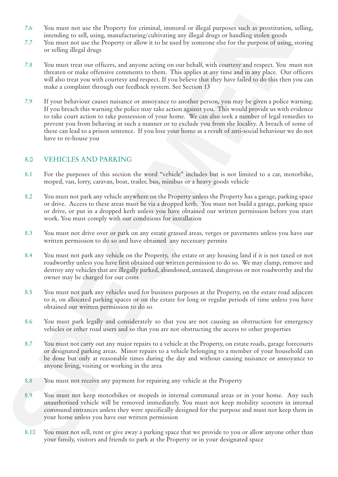- 7.6 You must not use the Property for criminal, immoral or illegal purposes such as prostitution, selling, intending to sell, using, manufacturing/cultivating any illegal drugs or handling stolen goods
- 7.7 You must not use the Property or allow it to be used by someone else for the purpose of using, storing or selling illegal drugs
- 7.8 You must treat our officers, and anyone acting on our behalf, with courtesy and respect. You must not threaten or make offensive comments to them. This applies at any time and in any place. Our officers will also treat you with courtesy and respect. If you believe that they have failed to do this then you can make a complaint through our feedback system. See Section 13
- 7.6 You must not use the Property for certainal, introduced liggit partons and as providuation incomplete the property of solid single local control in the property of the property of the single local control incomplete t 7.9 If your behaviour causes nuisance or annoyance to another person, you may be given a police warning. If you breach this warning the police may take action against you. This would provide us with evidence to take court action to take possession of your home. We can also seek a number of legal remedies to prevent you from behaving in such a manner or to exclude you from the locality. A breach of some of these can lead to a prison sentence. If you lose your home as a result of anti-social behaviour we do not have to re-house you

#### 8.0 VEHICLES AND PARKING

- 8.1 For the purposes of this section the word "vehicle" includes but is not limited to a car, motorbike, moped, van, lorry, caravan, boat, trailer, bus, minibus or a heavy goods vehicle
- 8.2 You must not park any vehicle anywhere on the Property unless the Property has a garage, parking space or drive. Access to these areas must be via a dropped kerb. You must not build a garage, parking space or drive, or put in a dropped kerb unless you have obtained our written permission before you start work. You must comply with our conditions for installation
- 8.3 You must not drive over or park on any estate grassed areas, verges or pavements unless you have our written permission to do so and have obtained any necessary permits
- 8.4 You must not park any vehicle on the Property, the estate or any housing land if it is not taxed or not roadworthy unless you have first obtained our written permission to do so. We may clamp, remove and destroy any vehicles that are illegally parked, abandoned, untaxed, dangerous or not roadworthy and the owner may be charged for our costs
- 8.5 You must not park any vehicles used for business purposes at the Property, on the estate road adjacent to it, on allocated parking spaces or on the estate for long or regular periods of time unless you have obtained our written permission to do so
- 8.6 You must park legally and considerately so that you are not causing an obstruction for emergency vehicles or other road users and so that you are not obstructing the access to other properties
- 8.7 You must not carry out any major repairs to a vehicle at the Property, on estate roads, garage forecourts or designated parking areas. Minor repairs to a vehicle belonging to a member of your household can be done but only at reasonable times during the day and without causing nuisance or annoyance to anyone living, visiting or working in the area
- 8.8 You must not receive any payment for repairing any vehicle at the Property
- 8.9 You must not keep motorbikes or mopeds in internal communal areas or in your home. Any such unauthorised vehicle will be removed immediately. You must not keep mobility scooters in internal communal entrances unless they were specifically designed for the purpose and must not keep them in your home unless you have our written permission
- 8.10 You must not sell, rent or give away a parking space that we provide to you or allow anyone other than your family, visitors and friends to park at the Property or in your designated space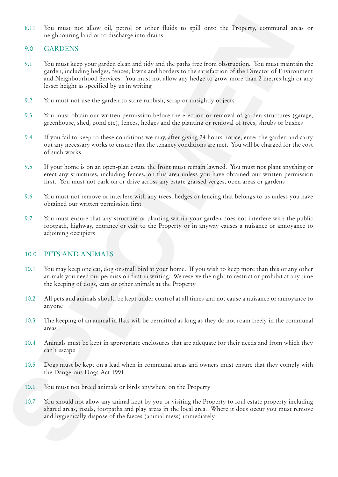8.11 You must not allow oil, petrol or other fluids to spill onto the Property, communal areas or neighbouring land or to discharge into drains

#### 9.0 GARDENS

- S.11 You must not allow oil, pertol or other fluids to spill once the Property, commental or  $\alpha$  (SARDENS) and our or distinguished but and intervention. You must keep your purchase the spill once a bootstrain descriptio 9.1 You must keep your garden clean and tidy and the paths free from obstruction. You must maintain the garden, including hedges, fences, lawns and borders to the satisfaction of the Director of Environment and Neighbourhood Services. You must not allow any hedge to grow more than 2 metres high or any lesser height as specified by us in writing
	- 9.2 You must not use the garden to store rubbish, scrap or unsightly objects
	- 9.3 You must obtain our written permission before the erection or removal of garden structures (garage, greenhouse, shed, pond etc), fences, hedges and the planting or removal of trees, shrubs or bushes
	- 9.4 If you fail to keep to these conditions we may, after giving 24 hours notice, enter the garden and carry out any necessary works to ensure that the tenancy conditions are met. You will be charged for the cost of such works
	- 9.5 If your home is on an open-plan estate the front must remain lawned. You must not plant anything or erect any structures, including fences, on this area unless you have obtained our written permission first. You must not park on or drive across any estate grassed verges, open areas or gardens
	- 9.6 You must not remove or interfere with any trees, hedges or fencing that belongs to us unless you have obtained our written permission first
	- 9.7 You must ensure that any structure or planting within your garden does not interfere with the public footpath, highway, entrance or exit to the Property or in anyway causes a nuisance or annoyance to adjoining occupiers

#### 10.0 PETS AND ANIMALS

- 10.1 You may keep one cat, dog or small bird at your home. If you wish to keep more than this or any other animals you need our permission first in writing. We reserve the right to restrict or prohibit at any time the keeping of dogs, cats or other animals at the Property
- 10.2 All pets and animals should be kept under control at all times and not cause a nuisance or annoyance to anyone
- 10.3 The keeping of an animal in flats will be permitted as long as they do not roam freely in the communal areas
- 10.4 Animals must be kept in appropriate enclosures that are adequate for their needs and from which they can't escape
- 10.5 Dogs must be kept on a lead when in communal areas and owners must ensure that they comply with the Dangerous Dogs Act 1991
- 10.6 You must not breed animals or birds anywhere on the Property
- 10.7 You should not allow any animal kept by you or visiting the Property to foul estate property including shared areas, roads, footpaths and play areas in the local area. Where it does occur you must remove and hygienically dispose of the faeces (animal mess) immediately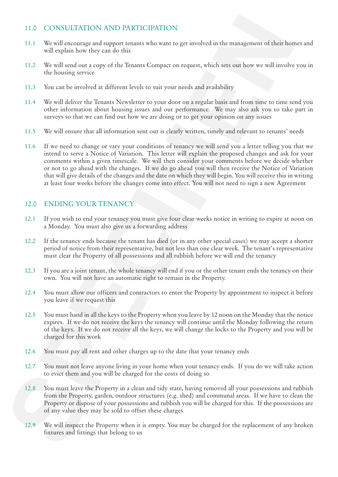#### 11.0 CONSULTATION AND PARTICIPATION

- 11.1 We will encourage and support tenants who want to get involved in the management of their homes and will explain how they can do this
- 11.2 We will send out a copy of the Tenants Compact on request, which sets out how we will involve you in the housing service
- 11.3 You can be involved at different levels to suit your needs and availability
- 11.4 We will deliver the Tenants Newsletter to your door on a regular basis and from time to time send you other information about housing issues and our performance. We may also ask you to take part in surveys so that we can find out how we are doing or to get your opinion on any issues
- 11.5 We will ensure that all information sent out is clearly written, timely and relevant to tenants' needs
- 11.0 CONSULTATION AND PARTICIPATION<br>
SUE TWO WELL CONSULTATION<br>
SUE TWO WELL CONSULTATION THE SUE TRANSPORT INTO THE SUE TRANSPORT IN THE SUE TRANSPORT OF TRANSPORT OF TRANSPORT IN THE SUE TRANSPORT OF TRANSPORT INTO THE 11.6 If we need to change or vary your conditions of tenancy we will send you a letter telling you that we intend to serve a Notice of Variation. This letter will explain the proposed changes and ask for your comments within a given timescale. We will then consider your comments before we decide whether or not to go ahead with the changes. If we do go ahead you will then receive the Notice of Variation that will give details of the changes and the date on which they will begin. You will receive this in writing at least four weeks before the changes come into effect. You will not need to sign a new Agreement

#### 12.0 ENDING YOUR TENANCY

- 12.1 If you wish to end your tenancy you must give four clear weeks notice in writing to expire at noon on a Monday. You must also give us a forwarding address
- 12.2 If the tenancy ends because the tenant has died (or in any other special cases) we may accept a shorter period of notice from their representative, but not less than one clear week. The tenant's representative must clear the Property of all possessions and all rubbish before we will end the tenancy
- 12.3 If you are a joint tenant, the whole tenancy will end if you or the other tenant ends the tenancy on their own. You will not have an automatic right to remain in the Property.
- 12.4 You must allow our officers and contractors to enter the Property by appointment to inspect it before you leave if we request this
- 12.5 You must hand in all the keys to the Property when you leave by 12 noon on the Monday that the notice expires. If we do not receive the keys the tenancy will continue until the Monday following the return of the keys. If we do not receive all the keys, we will change the locks to the Property and you will be charged for this work
- 12.6 You must pay all rent and other charges up to the date that your tenancy ends
- 12.7 You must not leave anyone living in your home when your tenancy ends. If you do we will take action to evict them and you will be charged for the costs of doing so
- 12.8 You must leave the Property in a clean and tidy state, having removed all your possessions and rubbish from the Property, garden, outdoor structures (e.g. shed) and communal areas. If we have to clean the Property or dispose of your possessions and rubbish you will be charged for this. If the possessions are of any value they may be sold to offset these charges
- 12.9 We will inspect the Property when it is empty. You may be charged for the replacement of any broken fixtures and fittings that belong to us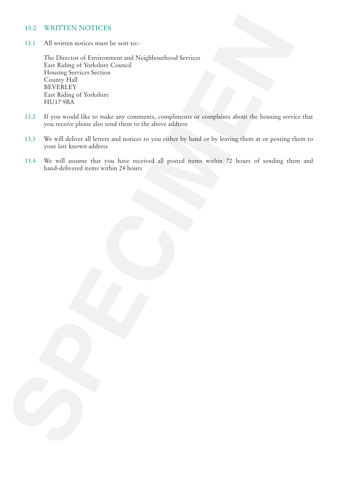#### 13.0 WRITTEN NOTICES

13.1 All written notices must be sent to:-

13.0 WILLITEN NOTICES<br>
13.1 All written notices were become at Notelyboarbook Services<br>
The angle Street Scotland<br>
Internal Service Scotland<br>
Internal Service Scotland<br>
14.117 WA<br>
13.2 Hyper words place at our star and som The Director of Environment and Neighbourhood Services East Riding of Yorkshire Council Housing Services Section County Hall BEVERLEY East Riding of Yorkshire HU17 9BA

- 13.2 If you would like to make any comments, compliments or complaints about the housing service that you receive please also send them to the above address
- 13.3 We will deliver all letters and notices to you either by hand or by leaving them at or posting them to your last known address
- 13.4 We will assume that you have received all posted items within 72 hours of sending them and hand-delivered items within 24 hours